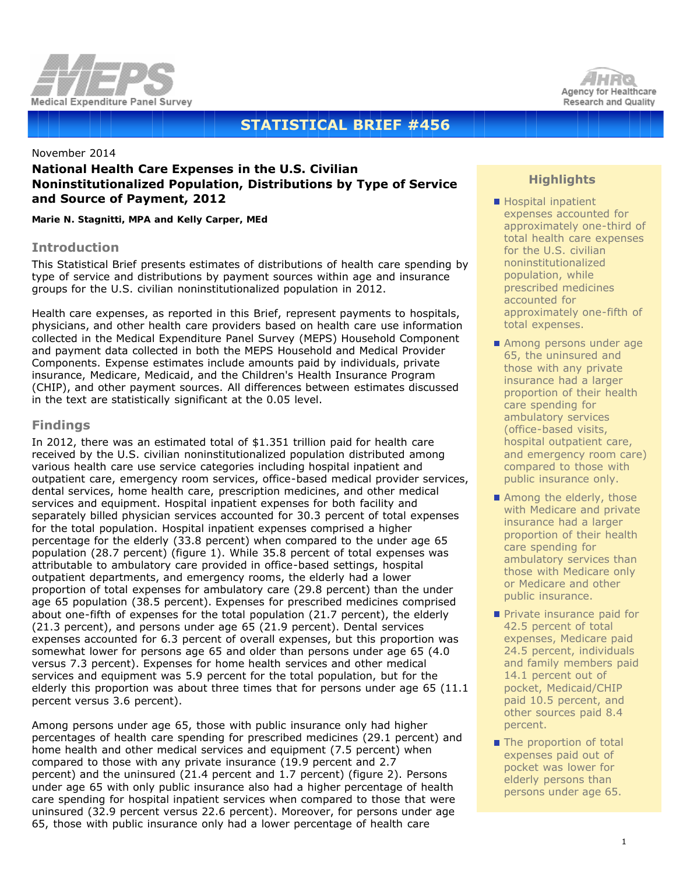



# **STATISTICAL BRIEF #456**

#### November 2014

# **National Health Care Expenses in the U.S. Civilian Noninstitutionalized Population, Distributions by Type of Service and Source of Payment, 2012**

*Marie N. Stagnitti, MPA and Kelly Carper, MEd*

#### **Introduction**

This Statistical Brief presents estimates of distributions of health care spending by type of service and distributions by payment sources within age and insurance groups for the U.S. civilian noninstitutionalized population in 2012.

Health care expenses, as reported in this Brief, represent payments to hospitals, physicians, and other health care providers based on health care use information collected in the Medical Expenditure Panel Survey (MEPS) Household Component and payment data collected in both the MEPS Household and Medical Provider Components. Expense estimates include amounts paid by individuals, private insurance, Medicare, Medicaid, and the Children's Health Insurance Program (CHIP), and other payment sources. All differences between estimates discussed in the text are statistically significant at the 0.05 level.

# **Findings**

In 2012, there was an estimated total of \$1.351 trillion paid for health care received by the U.S. civilian noninstitutionalized population distributed among various health care use service categories including hospital inpatient and outpatient care, emergency room services, office-based medical provider services, dental services, home health care, prescription medicines, and other medical services and equipment. Hospital inpatient expenses for both facility and separately billed physician services accounted for 30.3 percent of total expenses for the total population. Hospital inpatient expenses comprised a higher percentage for the elderly (33.8 percent) when compared to the under age 65 population (28.7 percent) (figure 1). While 35.8 percent of total expenses was attributable to ambulatory care provided in office-based settings, hospital outpatient departments, and emergency rooms, the elderly had a lower proportion of total expenses for ambulatory care (29.8 percent) than the under age 65 population (38.5 percent). Expenses for prescribed medicines comprised about one-fifth of expenses for the total population (21.7 percent), the elderly (21.3 percent), and persons under age 65 (21.9 percent). Dental services expenses accounted for 6.3 percent of overall expenses, but this proportion was somewhat lower for persons age 65 and older than persons under age 65 (4.0 versus 7.3 percent). Expenses for home health services and other medical services and equipment was 5.9 percent for the total population, but for the elderly this proportion was about three times that for persons under age 65 (11.1 percent versus 3.6 percent).

Among persons under age 65, those with public insurance only had higher percentages of health care spending for prescribed medicines (29.1 percent) and home health and other medical services and equipment (7.5 percent) when compared to those with any private insurance (19.9 percent and 2.7 percent) and the uninsured (21.4 percent and 1.7 percent) (figure 2). Persons under age 65 with only public insurance also had a higher percentage of health care spending for hospital inpatient services when compared to those that were uninsured (32.9 percent versus 22.6 percent). Moreover, for persons under age 65, those with public insurance only had a lower percentage of health care

# **Highlights**

- Hospital inpatient expenses accounted for approximately one-third of total health care expenses for the U.S. civilian noninstitutionalized population, while prescribed medicines accounted for approximately one-fifth of total expenses.
- Among persons under age 65, the uninsured and those with any private insurance had a larger proportion of their health care spending for ambulatory services (office-based visits, hospital outpatient care, and emergency room care) compared to those with public insurance only.
- Among the elderly, those with Medicare and private insurance had a larger proportion of their health care spending for ambulatory services than those with Medicare only or Medicare and other public insurance.
- Private insurance paid for 42.5 percent of total expenses, Medicare paid 24.5 percent, individuals and family members paid 14.1 percent out of pocket, Medicaid/CHIP paid 10.5 percent, and other sources paid 8.4 percent.
- The proportion of total expenses paid out of pocket was lower for elderly persons than persons under age 65.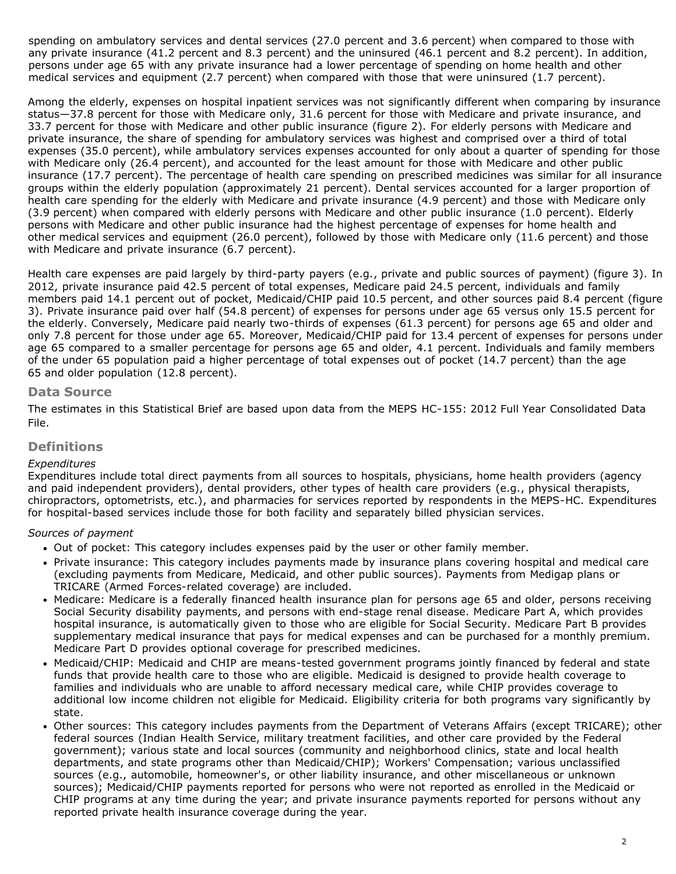spending on ambulatory services and dental services (27.0 percent and 3.6 percent) when compared to those with any private insurance (41.2 percent and 8.3 percent) and the uninsured (46.1 percent and 8.2 percent). In addition, persons under age 65 with any private insurance had a lower percentage of spending on home health and other medical services and equipment (2.7 percent) when compared with those that were uninsured (1.7 percent).

Among the elderly, expenses on hospital inpatient services was not significantly different when comparing by insurance status—37.8 percent for those with Medicare only, 31.6 percent for those with Medicare and private insurance, and 33.7 percent for those with Medicare and other public insurance (figure 2). For elderly persons with Medicare and private insurance, the share of spending for ambulatory services was highest and comprised over a third of total expenses (35.0 percent), while ambulatory services expenses accounted for only about a quarter of spending for those with Medicare only (26.4 percent), and accounted for the least amount for those with Medicare and other public insurance (17.7 percent). The percentage of health care spending on prescribed medicines was similar for all insurance groups within the elderly population (approximately 21 percent). Dental services accounted for a larger proportion of health care spending for the elderly with Medicare and private insurance (4.9 percent) and those with Medicare only (3.9 percent) when compared with elderly persons with Medicare and other public insurance (1.0 percent). Elderly persons with Medicare and other public insurance had the highest percentage of expenses for home health and other medical services and equipment (26.0 percent), followed by those with Medicare only (11.6 percent) and those with Medicare and private insurance (6.7 percent).

Health care expenses are paid largely by third-party payers (e.g., private and public sources of payment) (figure 3). In 2012, private insurance paid 42.5 percent of total expenses, Medicare paid 24.5 percent, individuals and family members paid 14.1 percent out of pocket, Medicaid/CHIP paid 10.5 percent, and other sources paid 8.4 percent (figure 3). Private insurance paid over half (54.8 percent) of expenses for persons under age 65 versus only 15.5 percent for the elderly. Conversely, Medicare paid nearly two-thirds of expenses (61.3 percent) for persons age 65 and older and only 7.8 percent for those under age 65. Moreover, Medicaid/CHIP paid for 13.4 percent of expenses for persons under age 65 compared to a smaller percentage for persons age 65 and older, 4.1 percent. Individuals and family members of the under 65 population paid a higher percentage of total expenses out of pocket (14.7 percent) than the age 65 and older population (12.8 percent).

## **Data Source**

The estimates in this Statistical Brief are based upon data from the MEPS HC-155: 2012 Full Year Consolidated Data File.

## **Definitions**

#### *Expenditures*

Expenditures include total direct payments from all sources to hospitals, physicians, home health providers (agency and paid independent providers), dental providers, other types of health care providers (e.g., physical therapists, chiropractors, optometrists, etc.), and pharmacies for services reported by respondents in the MEPS-HC. Expenditures for hospital-based services include those for both facility and separately billed physician services.

## *Sources of payment*

- Out of pocket: This category includes expenses paid by the user or other family member.
- Private insurance: This category includes payments made by insurance plans covering hospital and medical care (excluding payments from Medicare, Medicaid, and other public sources). Payments from Medigap plans or TRICARE (Armed Forces-related coverage) are included.
- Medicare: Medicare is a federally financed health insurance plan for persons age 65 and older, persons receiving Social Security disability payments, and persons with end-stage renal disease. Medicare Part A, which provides hospital insurance, is automatically given to those who are eligible for Social Security. Medicare Part B provides supplementary medical insurance that pays for medical expenses and can be purchased for a monthly premium. Medicare Part D provides optional coverage for prescribed medicines.
- Medicaid/CHIP: Medicaid and CHIP are means-tested government programs jointly financed by federal and state funds that provide health care to those who are eligible. Medicaid is designed to provide health coverage to families and individuals who are unable to afford necessary medical care, while CHIP provides coverage to additional low income children not eligible for Medicaid. Eligibility criteria for both programs vary significantly by state.
- Other sources: This category includes payments from the Department of Veterans Affairs (except TRICARE); other federal sources (Indian Health Service, military treatment facilities, and other care provided by the Federal government); various state and local sources (community and neighborhood clinics, state and local health departments, and state programs other than Medicaid/CHIP); Workers' Compensation; various unclassified sources (e.g., automobile, homeowner's, or other liability insurance, and other miscellaneous or unknown sources); Medicaid/CHIP payments reported for persons who were not reported as enrolled in the Medicaid or CHIP programs at any time during the year; and private insurance payments reported for persons without any reported private health insurance coverage during the year.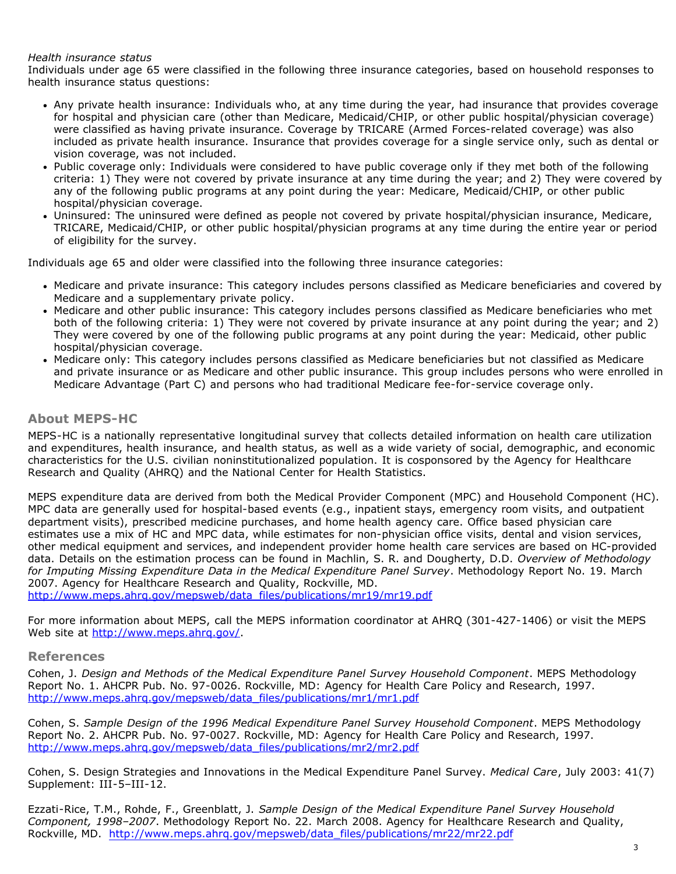#### *Health insurance status*

Individuals under age 65 were classified in the following three insurance categories, based on household responses to health insurance status questions:

- Any private health insurance: Individuals who, at any time during the year, had insurance that provides coverage for hospital and physician care (other than Medicare, Medicaid/CHIP, or other public hospital/physician coverage) were classified as having private insurance. Coverage by TRICARE (Armed Forces-related coverage) was also included as private health insurance. Insurance that provides coverage for a single service only, such as dental or vision coverage, was not included.
- Public coverage only: Individuals were considered to have public coverage only if they met both of the following criteria: 1) They were not covered by private insurance at any time during the year; and 2) They were covered by any of the following public programs at any point during the year: Medicare, Medicaid/CHIP, or other public hospital/physician coverage.
- Uninsured: The uninsured were defined as people not covered by private hospital/physician insurance, Medicare, TRICARE, Medicaid/CHIP, or other public hospital/physician programs at any time during the entire year or period of eligibility for the survey.

Individuals age 65 and older were classified into the following three insurance categories:

- Medicare and private insurance: This category includes persons classified as Medicare beneficiaries and covered by Medicare and a supplementary private policy.
- Medicare and other public insurance: This category includes persons classified as Medicare beneficiaries who met both of the following criteria: 1) They were not covered by private insurance at any point during the year; and 2) They were covered by one of the following public programs at any point during the year: Medicaid, other public hospital/physician coverage.
- Medicare only: This category includes persons classified as Medicare beneficiaries but not classified as Medicare and private insurance or as Medicare and other public insurance. This group includes persons who were enrolled in Medicare Advantage (Part C) and persons who had traditional Medicare fee-for-service coverage only.

# **About MEPS-HC**

MEPS-HC is a nationally representative longitudinal survey that collects detailed information on health care utilization and expenditures, health insurance, and health status, as well as a wide variety of social, demographic, and economic characteristics for the U.S. civilian noninstitutionalized population. It is cosponsored by the Agency for Healthcare Research and Quality (AHRQ) and the National Center for Health Statistics.

MEPS expenditure data are derived from both the Medical Provider Component (MPC) and Household Component (HC). MPC data are generally used for hospital-based events (e.g., inpatient stays, emergency room visits, and outpatient department visits), prescribed medicine purchases, and home health agency care. Office based physician care estimates use a mix of HC and MPC data, while estimates for non-physician office visits, dental and vision services, other medical equipment and services, and independent provider home health care services are based on HC-provided data. Details on the estimation process can be found in Machlin, S. R. and Dougherty, D.D. *Overview of Methodology for Imputing Missing Expenditure Data in the Medical Expenditure Panel Survey*. Methodology Report No. 19. March 2007. Agency for Healthcare Research and Quality, Rockville, MD.

[http://www.meps.ahrq.gov/mepsweb/data\\_files/publications/mr19/mr19.pdf](http://www.meps.ahrq.gov/mepsweb/data_files/publications/mr19/mr19.pdf)

For more information about MEPS, call the MEPS information coordinator at AHRQ (301-427-1406) or visit the MEPS Web site at http://www.meps.ahrg.gov/.

#### **References**

Cohen, J. *Design and Methods of the Medical Expenditure Panel Survey Household Component*. MEPS Methodology Report No. 1. AHCPR Pub. No. 97-0026. Rockville, MD: Agency for Health Care Policy and Research, 1997. [http://www.meps.ahrq.gov/mepsweb/data\\_files/publications/mr1/mr1.pdf](http://www.meps.ahrq.gov/mepsweb/data_files/publications/mr1/mr1.pdf)

Cohen, S. *Sample Design of the 1996 Medical Expenditure Panel Survey Household Component*. MEPS Methodology Report No. 2. AHCPR Pub. No. 97-0027. Rockville, MD: Agency for Health Care Policy and Research, 1997. [http://www.meps.ahrq.gov/mepsweb/data\\_files/publications/mr2/mr2.pdf](http://www.meps.ahrq.gov/mepsweb/data_files/publications/mr2/mr2.pdf)

Cohen, S. Design Strategies and Innovations in the Medical Expenditure Panel Survey. *Medical Care*, July 2003: 41(7) Supplement: III-5–III-12.

Ezzati-Rice, T.M., Rohde, F., Greenblatt, J. *Sample Design of the Medical Expenditure Panel Survey Household Component, 1998–2007*. Methodology Report No. 22. March 2008. Agency for Healthcare Research and Quality, Rockville, MD. [http://www.meps.ahrq.gov/mepsweb/data\\_files/publications/mr22/mr22.pdf](http://www.meps.ahrq.gov/mepsweb/data_files/publications/mr22/mr22.pdf)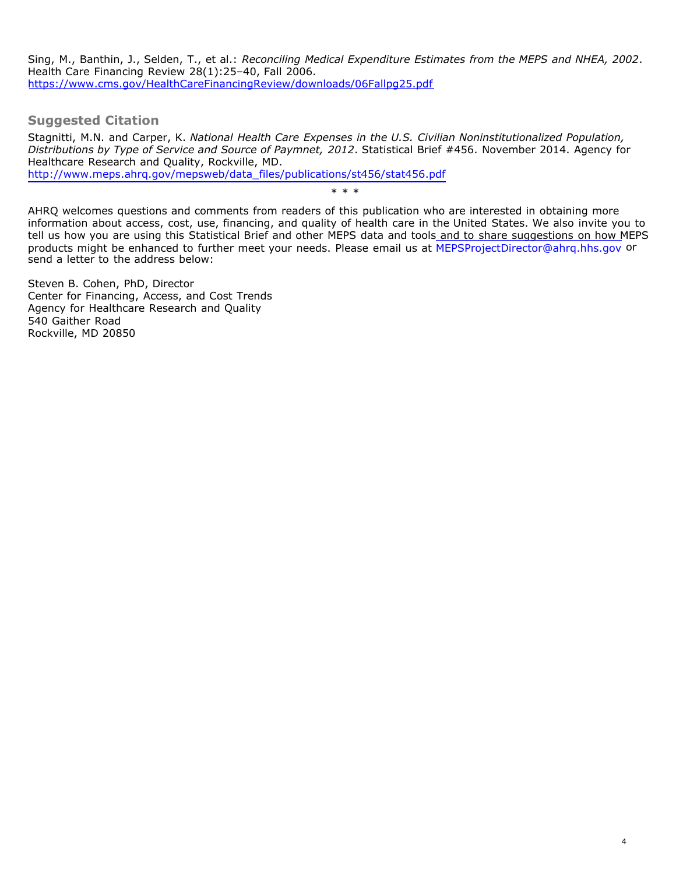Sing, M., Banthin, J., Selden, T., et al.: *Reconciling Medical Expenditure Estimates from the MEPS and NHEA, 2002*. Health Care Financing Review 28(1):25–40, Fall 2006. <https://www.cms.gov/HealthCareFinancingReview/downloads/06Fallpg25.pdf>

**Suggested Citation**

Stagnitti, M.N. and Carper, K. *National Health Care Expenses in the U.S. Civilian Noninstitutionalized Population, Distributions by Type of Service and Source of Paymnet, 2012*. Statistical Brief #456. November 2014. Agency for [Healthcare Research and Quality, Rockville, MD.](http://www.meps.ahrq.gov/mepsweb/data_files/publications/st456/stat456.pdf)

http://www.meps.ahrq.gov/mepsweb/data\_files/publications/st456/stat456.pdf

\* \* \*

AHRQ welcomes questions and comments from readers of this publication who are interested in obtaining more information about access, cost, use, financing, and quality of health care in the United States. We also invite you to tell us how you are using this Statistical Brief and other MEPS data and tool[s and to share suggestions on how M](mailto:MEPSProjectDirector@ahrq.hhs.gov)EPS products might be enhanced to further meet your needs. Please email us at MEPSProjectDirector@ahrq.hhs.gov or send a letter to the address below:

Steven B. Cohen, PhD, Director Center for Financing, Access, and Cost Trends Agency for Healthcare Research and Quality 540 Gaither Road Rockville, MD 20850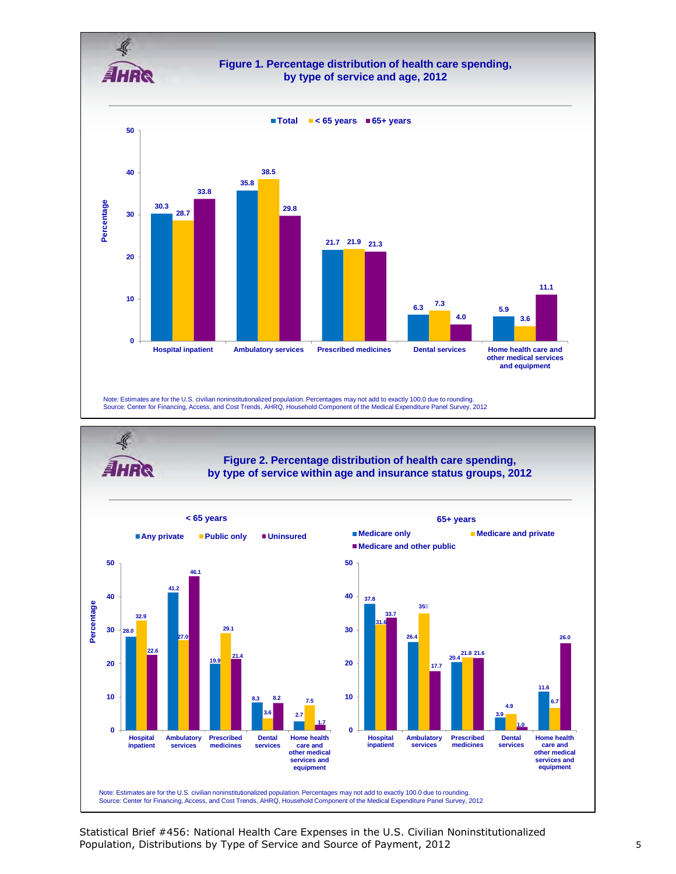



Statistical Brief #456: National Health Care Expenses in the U.S. Civilian Noninstitutionalized Population, Distributions by Type of Service and Source of Payment, 2012 5